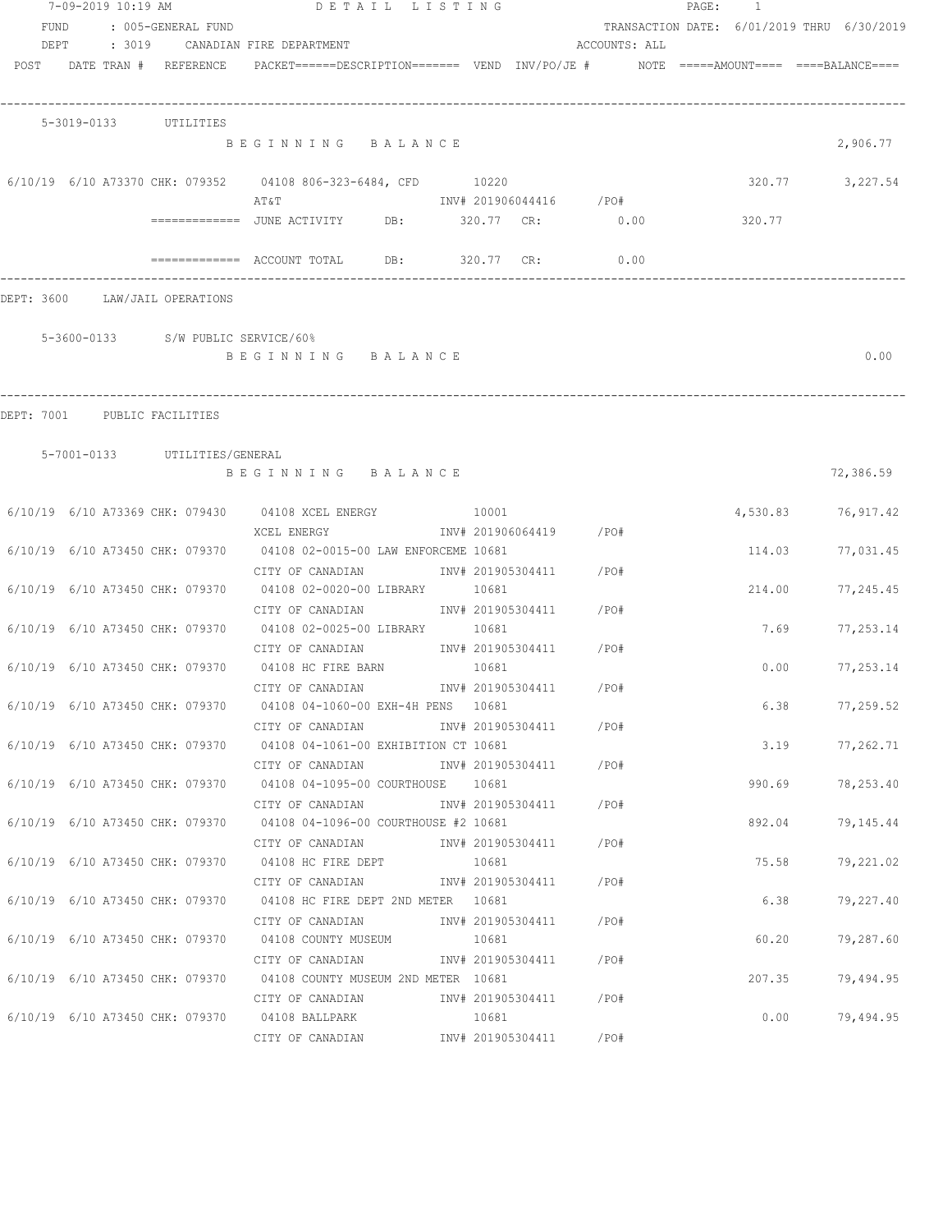|      | 7-09-2019 10:19 AM                 | DETAIL LISTING                                                                                  |       |                            |                         |               | PAGE: 1 |        |                                            |
|------|------------------------------------|-------------------------------------------------------------------------------------------------|-------|----------------------------|-------------------------|---------------|---------|--------|--------------------------------------------|
| FUND | : 005-GENERAL FUND                 |                                                                                                 |       |                            |                         |               |         |        | TRANSACTION DATE: 6/01/2019 THRU 6/30/2019 |
| DEPT |                                    | : 3019 CANADIAN FIRE DEPARTMENT                                                                 |       |                            |                         | ACCOUNTS: ALL |         |        |                                            |
|      | POST DATE TRAN # REFERENCE         | $PACKET == == = DESCRIPTION == == == $ VEND $INV/PO/JE$ # $NOTE$ =====AMOUNT==== ===BALANCE==== |       |                            |                         |               |         |        |                                            |
|      | 5-3019-0133 UTILITIES              |                                                                                                 |       |                            |                         |               |         |        |                                            |
|      |                                    | BEGINNING BALANCE                                                                               |       |                            |                         |               |         |        | 2,906.77                                   |
|      |                                    | 6/10/19 6/10 A73370 CHK: 079352 04108 806-323-6484, CFD 10220<br>ΑΤ&Τ                           |       |                            | INV# 201906044416 /PO#  |               |         | 320.77 | 3,227.54                                   |
|      |                                    | =============    JUNE  ACTIVITY              DB:                  320.77      CR:               |       |                            |                         | 0.00          |         | 320.77 |                                            |
|      |                                    | ============ ACCOUNT TOTAL DB: 320.77 CR:                                                       |       |                            |                         | 0.00          |         |        |                                            |
|      | DEPT: 3600 LAW/JAIL OPERATIONS     |                                                                                                 |       |                            |                         |               |         |        |                                            |
|      | 5-3600-0133 S/W PUBLIC SERVICE/60% |                                                                                                 |       |                            |                         |               |         |        |                                            |
|      |                                    | BEGINNING BALANCE                                                                               |       |                            |                         |               |         |        | 0.00                                       |
|      | DEPT: 7001 PUBLIC FACILITIES       |                                                                                                 |       |                            |                         |               |         |        |                                            |
|      |                                    |                                                                                                 |       |                            |                         |               |         |        |                                            |
|      | 5-7001-0133 UTILITIES/GENERAL      | BEGINNING BALANCE                                                                               |       |                            |                         |               |         |        | 72,386.59                                  |
|      |                                    | 6/10/19 6/10 A73369 CHK: 079430 04108 XCEL ENERGY 10001                                         |       |                            |                         |               |         |        | 4,530.83 76,917.42                         |
|      |                                    | XCEL ENERGY<br>6/10/19 6/10 A73450 CHK: 079370 04108 02-0015-00 LAW ENFORCEME 10681             |       |                            | INV# 201906064419 / PO# |               |         | 114.03 | 77,031.45                                  |
|      |                                    | CITY OF CANADIAN<br>6/10/19 6/10 A73450 CHK: 079370 04108 02-0020-00 LIBRARY 10681              |       |                            | INV# 201905304411 /PO#  |               |         | 214.00 | 77,245.45                                  |
|      | 6/10/19 6/10 A73450 CHK: 079370    | CITY OF CANADIAN<br>04108 02-0025-00 LIBRARY 10681                                              |       |                            | INV# 201905304411 /PO#  |               |         | 7.69   | 77,253.14                                  |
|      |                                    | CITY OF CANADIAN<br>6/10/19 6/10 A73450 CHK: 079370 04108 HC FIRE BARN                          | 10681 |                            | INV# 201905304411 /PO#  |               |         | 0.00   | 77,253.14                                  |
|      |                                    | CITY OF CANADIAN<br>6/10/19 6/10 A73450 CHK: 079370 04108 04-1060-00 EXH-4H PENS 10681          |       | INV# 201905304411          |                         | /PO#          |         | 6.38   | 77,259.52                                  |
|      |                                    | CITY OF CANADIAN                                                                                |       |                            | INV# 201905304411       | /PO#          |         |        |                                            |
|      |                                    | 6/10/19 6/10 A73450 CHK: 079370 04108 04-1061-00 EXHIBITION CT 10681<br>CITY OF CANADIAN        |       |                            | INV# 201905304411 /PO#  |               |         | 3.19   | 77,262.71                                  |
|      |                                    | 6/10/19 6/10 A73450 CHK: 079370 04108 04-1095-00 COURTHOUSE 10681<br>CITY OF CANADIAN           |       | INV# 201905304411          |                         | /PO#          |         | 990.69 | 78,253.40                                  |
|      | 6/10/19 6/10 A73450 CHK: 079370    | 04108 04-1096-00 COURTHOUSE #2 10681<br>CITY OF CANADIAN                                        |       |                            | INV# 201905304411       | /PO#          |         | 892.04 | 79,145.44                                  |
|      | 6/10/19 6/10 A73450 CHK: 079370    | 04108 HC FIRE DEPT                                                                              |       | 10681                      |                         |               |         | 75.58  | 79,221.02                                  |
|      | 6/10/19 6/10 A73450 CHK: 079370    | CITY OF CANADIAN<br>04108 HC FIRE DEPT 2ND METER 10681                                          |       | INV# 201905304411          |                         | /PO#          |         | 6.38   | 79,227.40                                  |
|      | 6/10/19 6/10 A73450 CHK: 079370    | CITY OF CANADIAN<br>04108 COUNTY MUSEUM                                                         |       | INV# 201905304411<br>10681 |                         | /PO#          |         | 60.20  | 79,287.60                                  |
|      | 6/10/19 6/10 A73450 CHK: 079370    | CITY OF CANADIAN<br>04108 COUNTY MUSEUM 2ND METER 10681                                         |       | INV# 201905304411          |                         | /PO#          |         | 207.35 | 79,494.95                                  |
|      |                                    | CITY OF CANADIAN                                                                                |       |                            | INV# 201905304411 /PO#  |               |         |        |                                            |
|      |                                    | 6/10/19 6/10 A73450 CHK: 079370 04108 BALLPARK<br>CITY OF CANADIAN                              |       | 10681                      | INV# 201905304411       | /PO#          |         | 0.00   | 79,494.95                                  |
|      |                                    |                                                                                                 |       |                            |                         |               |         |        |                                            |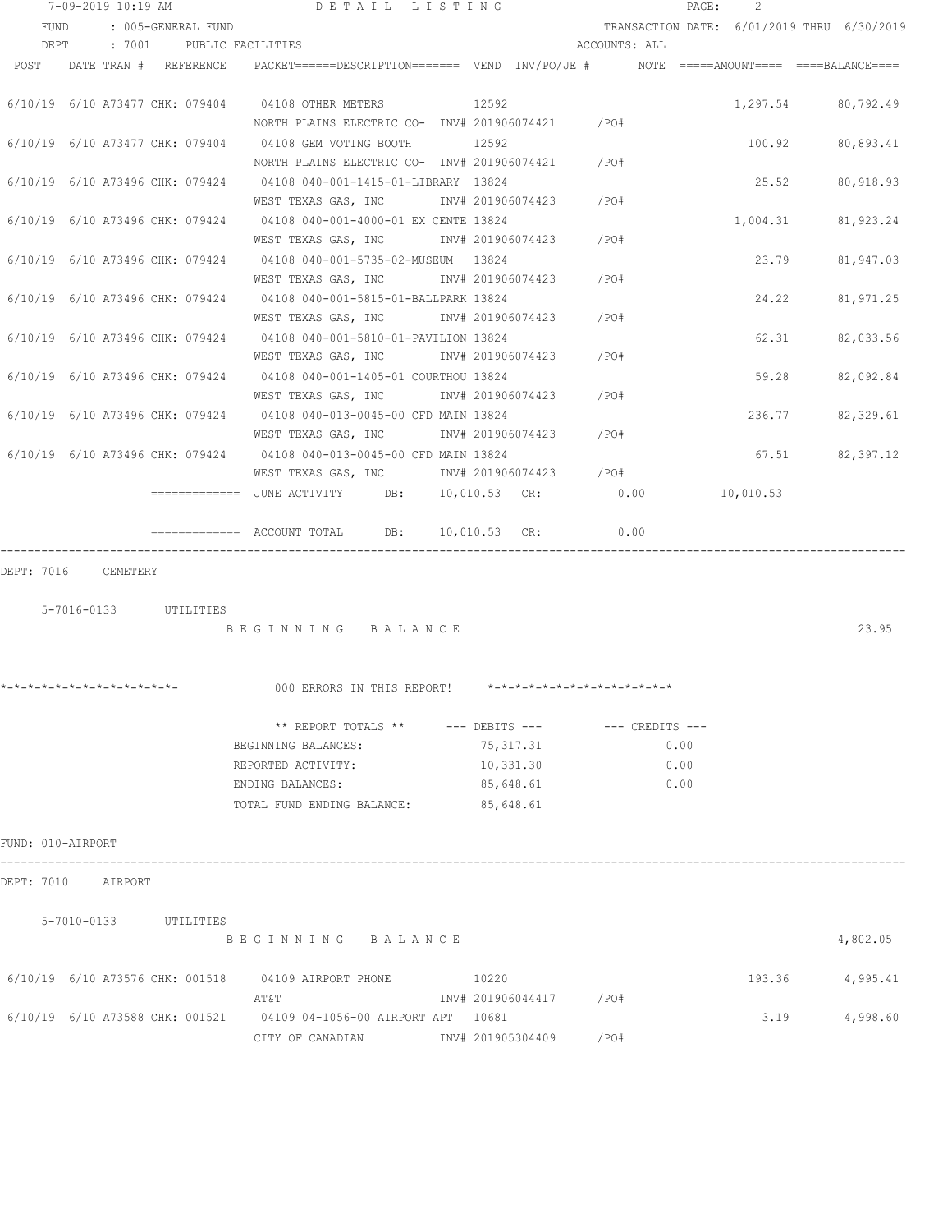| 7-09-2019 10:19 AM |  | DETAIL LISTING |                          |                                                                                                                              |  |           | $\mathtt{PAGE}$ :                                                                                                                         | $\mathcal{L}$ |      |                                            |  |                 |
|--------------------|--|----------------|--------------------------|------------------------------------------------------------------------------------------------------------------------------|--|-----------|-------------------------------------------------------------------------------------------------------------------------------------------|---------------|------|--------------------------------------------|--|-----------------|
| FUND               |  |                | : 005-GENERAL FUND       |                                                                                                                              |  |           |                                                                                                                                           |               |      | TRANSACTION DATE: 6/01/2019 THRU 6/30/2019 |  |                 |
| DEPT               |  |                | : 7001 PUBLIC FACILITIES |                                                                                                                              |  |           |                                                                                                                                           | ACCOUNTS: ALL |      |                                            |  |                 |
| POST               |  |                | DATE TRAN # REFERENCE    | PACKET======DESCRIPTION======= VEND INV/PO/JE # NOTE =====AMOUNT==== ====BALANCE====                                         |  |           |                                                                                                                                           |               |      |                                            |  |                 |
|                    |  |                |                          | 6/10/19 6/10 A73477 CHK: 079404 04108 OTHER METERS 12592<br>NORTH PLAINS ELECTRIC CO- INV# 201906074421 / PO#                |  |           |                                                                                                                                           |               |      | 1,297.54 80,792.49                         |  |                 |
|                    |  |                |                          | 6/10/19 6/10 A73477 CHK: 079404 04108 GEM VOTING BOOTH                                                                       |  | 12592     |                                                                                                                                           |               |      | 100.92 80,893.41                           |  |                 |
|                    |  |                |                          | NORTH PLAINS ELECTRIC CO- INV# 201906074421 / PO#<br>6/10/19 6/10 A73496 CHK: 079424 04108 040-001-1415-01-LIBRARY 13824     |  |           |                                                                                                                                           |               |      | 25.52                                      |  | 80,918.93       |
|                    |  |                |                          | WEST TEXAS GAS, INC<br>6/10/19 6/10 A73496 CHK: 079424 04108 040-001-4000-01 EX CENTE 13824                                  |  |           | INV# 201906074423 /PO#                                                                                                                    |               |      | 1,004.31 81,923.24                         |  |                 |
|                    |  |                |                          | WEST TEXAS GAS, INC METALLY 101906074423 / PO#<br>6/10/19 6/10 A73496 CHK: 079424 04108 040-001-5735-02-MUSEUM 13824         |  |           |                                                                                                                                           |               |      | 23.79                                      |  | 81,947.03       |
|                    |  |                |                          | WEST TEXAS GAS, INC       INV# 201906074423     /PO#<br>6/10/19 6/10 A73496 CHK: 079424 04108 040-001-5815-01-BALLPARK 13824 |  |           |                                                                                                                                           |               |      | 24.22                                      |  | 81,971.25       |
|                    |  |                |                          | WEST TEXAS GAS, INC MONTH 201906074423 / PO#<br>6/10/19 6/10 A73496 CHK: 079424 04108 040-001-5810-01-PAVILION 13824         |  |           |                                                                                                                                           |               |      | 62.31                                      |  | 82,033.56       |
|                    |  |                |                          | WEST TEXAS GAS, INC MONTH 201906074423 / PO#<br>6/10/19 6/10 A73496 CHK: 079424 04108 040-001-1405-01 COURTHOU 13824         |  |           |                                                                                                                                           |               |      | 59.28                                      |  | 82,092.84       |
|                    |  |                |                          | 6/10/19 6/10 A73496 CHK: 079424 04108 040-013-0045-00 CFD MAIN 13824                                                         |  |           |                                                                                                                                           |               |      | 236.77                                     |  | 82,329.61       |
|                    |  |                |                          | WEST TEXAS GAS, INC<br>6/10/19 6/10 A73496 CHK: 079424 04108 040-013-0045-00 CFD MAIN 13824                                  |  |           | INV# 201906074423 /PO#                                                                                                                    |               |      |                                            |  | 67.51 82,397.12 |
|                    |  |                |                          | WEST TEXAS GAS, INC        INV# 201906074423     /PO#                                                                        |  |           |                                                                                                                                           | 0.00          |      | 10,010.53                                  |  |                 |
|                    |  |                |                          | $\texttt{-----}$ ============ ACCOUNT TOTAL DB: 10,010.53 CR:                                                                |  |           |                                                                                                                                           | 0.00          |      |                                            |  |                 |
| DEPT: 7016         |  | CEMETERY       |                          |                                                                                                                              |  |           |                                                                                                                                           |               |      |                                            |  |                 |
|                    |  |                | 5-7016-0133 UTILITIES    |                                                                                                                              |  |           |                                                                                                                                           |               |      |                                            |  |                 |
|                    |  |                |                          | BEGINNING BALANCE                                                                                                            |  |           |                                                                                                                                           |               |      |                                            |  | 23.95           |
|                    |  |                |                          | *-*-*-*-*-*-*-*-*-*-*-*-*- 000 ERRORS IN THIS REPORT!                                                                        |  |           | $\star$ _ $\star$ _ $\star$ _ $\star$ _ $\star$ _ $\star$ _ $\star$ _ $\star$ _ $\star$ _ $\star$ _ $\star$ _ $\star$ _ $\star$ _ $\star$ |               |      |                                            |  |                 |
|                    |  |                |                          | ** REPORT TOTALS ** --- DEBITS --- -- CREDITS ---                                                                            |  |           |                                                                                                                                           |               |      |                                            |  |                 |
|                    |  |                |                          | BEGINNING BALANCES:                                                                                                          |  | 75,317.31 |                                                                                                                                           |               | 0.00 |                                            |  |                 |
|                    |  |                |                          | REPORTED ACTIVITY:                                                                                                           |  | 10,331.30 |                                                                                                                                           |               | 0.00 |                                            |  |                 |
|                    |  |                |                          | ENDING BALANCES:                                                                                                             |  | 85,648.61 |                                                                                                                                           |               | 0.00 |                                            |  |                 |
|                    |  |                |                          | TOTAL FUND ENDING BALANCE: 85,648.61                                                                                         |  |           |                                                                                                                                           |               |      |                                            |  |                 |
| FUND: 010-AIRPORT  |  |                |                          |                                                                                                                              |  |           |                                                                                                                                           |               |      |                                            |  |                 |
| DEPT: 7010 AIRPORT |  |                |                          |                                                                                                                              |  |           |                                                                                                                                           |               |      |                                            |  |                 |
|                    |  |                | 5-7010-0133 UTILITIES    | BEGINNING BALANCE                                                                                                            |  |           |                                                                                                                                           |               |      |                                            |  | 4,802.05        |
|                    |  |                |                          | 6/10/19 6/10 A73576 CHK: 001518 04109 AIRPORT PHONE 10220                                                                    |  |           |                                                                                                                                           |               |      | 193.36                                     |  | 4,995.41        |
|                    |  |                |                          | AT&T<br>6/10/19 6/10 A73588 CHK: 001521 04109 04-1056-00 AIRPORT APT 10681                                                   |  |           | INV# 201906044417 /PO#                                                                                                                    |               |      | 3.19                                       |  | 4,998.60        |
|                    |  |                |                          | CITY OF CANADIAN 1NV# 201905304409                                                                                           |  |           |                                                                                                                                           | /PO#          |      |                                            |  |                 |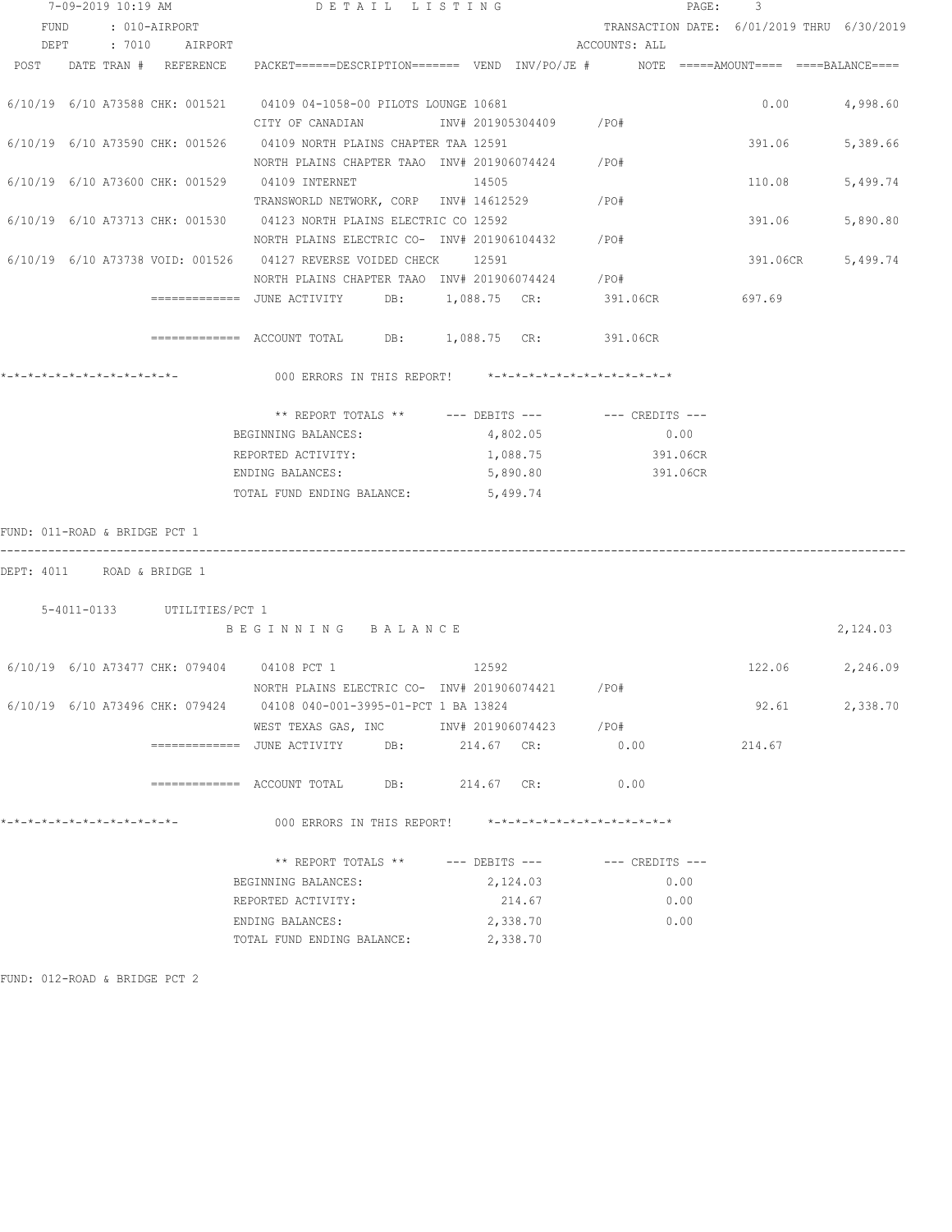| 7-09-2019 10:19 AM            |  |  |                             | DETAIL LISTING                                                                                       |                                                   |  |       |                |                                                         |                 | PAGE: 3                                    |          |                 |
|-------------------------------|--|--|-----------------------------|------------------------------------------------------------------------------------------------------|---------------------------------------------------|--|-------|----------------|---------------------------------------------------------|-----------------|--------------------------------------------|----------|-----------------|
| FUND : 010-AIRPORT            |  |  |                             |                                                                                                      |                                                   |  |       |                |                                                         |                 | TRANSACTION DATE: 6/01/2019 THRU 6/30/2019 |          |                 |
|                               |  |  | DEPT : 7010 AIRPORT         |                                                                                                      |                                                   |  |       |                | ACCOUNTS: ALL                                           |                 |                                            |          |                 |
|                               |  |  | POST DATE TRAN # REFERENCE  | PACKET======DESCRIPTION======= VEND INV/PO/JE #    NOTE =====AMOUNT==== ====BALANCE====              |                                                   |  |       |                |                                                         |                 |                                            |          |                 |
|                               |  |  |                             |                                                                                                      |                                                   |  |       |                |                                                         |                 |                                            |          |                 |
|                               |  |  |                             | 6/10/19 6/10 A73588 CHK: 001521 04109 04-1058-00 PILOTS LOUNGE 10681                                 |                                                   |  |       |                |                                                         |                 |                                            | 0.00     | 4,998.60        |
|                               |  |  |                             | CITY OF CANADIAN                                                                                     |                                                   |  |       |                | INV# 201905304409 / PO#                                 |                 |                                            |          |                 |
|                               |  |  |                             | 6/10/19 6/10 A73590 CHK: 001526 04109 NORTH PLAINS CHAPTER TAA 12591                                 |                                                   |  |       |                |                                                         |                 |                                            | 391.06   | 5,389.66        |
|                               |  |  |                             | NORTH PLAINS CHAPTER TAAO INV# 201906074424 / PO#                                                    |                                                   |  |       |                |                                                         |                 |                                            |          |                 |
|                               |  |  |                             | 6/10/19 6/10 A73600 CHK: 001529 04109 INTERNET                                                       |                                                   |  | 14505 |                |                                                         |                 |                                            | 110.08   | 5,499.74        |
|                               |  |  |                             | TRANSWORLD NETWORK, CORP INV# 14612529                                                               |                                                   |  |       |                | /PO#                                                    |                 |                                            |          |                 |
|                               |  |  |                             | 6/10/19 6/10 A73713 CHK: 001530 04123 NORTH PLAINS ELECTRIC CO 12592                                 |                                                   |  |       |                |                                                         |                 |                                            | 391.06   | 5,890.80        |
|                               |  |  |                             | NORTH PLAINS ELECTRIC CO- INV# 201906104432 / PO#                                                    |                                                   |  |       |                |                                                         |                 |                                            |          |                 |
|                               |  |  |                             | 6/10/19 6/10 A73738 VOID: 001526 04127 REVERSE VOIDED CHECK 12591                                    |                                                   |  |       |                |                                                         |                 |                                            | 391.06CR | 5,499.74        |
|                               |  |  |                             | NORTH PLAINS CHAPTER TAAO INV# 201906074424 / PO#                                                    |                                                   |  |       |                |                                                         |                 |                                            |          |                 |
|                               |  |  |                             | ============= JUNE ACTIVITY DB: 1,088.75 CR: 391.06CR 697.69                                         |                                                   |  |       |                |                                                         |                 |                                            |          |                 |
|                               |  |  |                             | ============ ACCOUNT TOTAL DB: 1,088.75 CR: 391.06CR                                                 |                                                   |  |       |                |                                                         |                 |                                            |          |                 |
|                               |  |  |                             | 000 ERRORS IN THIS REPORT! *-*-*-*-*-*-*-*-*-*-*-*-*-*-                                              |                                                   |  |       |                |                                                         |                 |                                            |          |                 |
|                               |  |  |                             |                                                                                                      |                                                   |  |       |                |                                                         |                 |                                            |          |                 |
|                               |  |  |                             |                                                                                                      | ** REPORT TOTALS ** --- DEBITS --- -- CREDITS --- |  |       |                |                                                         |                 |                                            |          |                 |
|                               |  |  |                             | BEGINNING BALANCES:                                                                                  |                                                   |  |       | 4,802.05       |                                                         | 0.00            |                                            |          |                 |
|                               |  |  |                             | REPORTED ACTIVITY:                                                                                   |                                                   |  |       | 1,088.75       |                                                         | 391.06CR        |                                            |          |                 |
|                               |  |  |                             | ENDING BALANCES:                                                                                     |                                                   |  |       | 5,890.80       |                                                         | 391.06CR        |                                            |          |                 |
|                               |  |  |                             | TOTAL FUND ENDING BALANCE: 5,499.74                                                                  |                                                   |  |       |                |                                                         |                 |                                            |          |                 |
| FUND: 011-ROAD & BRIDGE PCT 1 |  |  |                             |                                                                                                      |                                                   |  |       |                |                                                         |                 |                                            |          |                 |
| DEPT: 4011 ROAD & BRIDGE 1    |  |  |                             |                                                                                                      |                                                   |  |       |                |                                                         |                 |                                            |          |                 |
|                               |  |  | 5-4011-0133 UTILITIES/PCT 1 |                                                                                                      |                                                   |  |       |                |                                                         |                 |                                            |          |                 |
|                               |  |  |                             | BEGINNING BALANCE                                                                                    |                                                   |  |       |                |                                                         |                 |                                            |          | 2,124.03        |
|                               |  |  |                             |                                                                                                      |                                                   |  |       |                |                                                         |                 |                                            |          |                 |
|                               |  |  |                             | 6/10/19 6/10 A73477 CHK: 079404 04108 PCT 1 12592                                                    |                                                   |  |       |                |                                                         |                 |                                            |          | 122.06 2,246.09 |
|                               |  |  |                             | NORTH PLAINS ELECTRIC CO- INV# 201906074421                                                          |                                                   |  |       |                | /PO#                                                    |                 |                                            |          |                 |
|                               |  |  |                             | 6/10/19 6/10 A73496 CHK: 079424 04108 040-001-3995-01-PCT 1 BA 13824                                 |                                                   |  |       |                |                                                         |                 |                                            | 92.61    | 2,338.70        |
|                               |  |  |                             | WEST TEXAS GAS, INC        INV# 201906074423     /PO#                                                |                                                   |  |       |                |                                                         |                 |                                            |          |                 |
|                               |  |  |                             | ============    JUNE  ACTIVITY            DB:                214.67     CR:                     0.00 |                                                   |  |       |                |                                                         |                 |                                            | 214.67   |                 |
|                               |  |  |                             |                                                                                                      |                                                   |  |       | 214.67 CR:     |                                                         | 0.00            |                                            |          |                 |
| *-*-*-*-*-*-*-*-*-*-*-*-*-*-  |  |  |                             |                                                                                                      | 000 ERRORS IN THIS REPORT!                        |  |       |                | $* - * - * - * - * - * - * - * - * - * - * - * - * - *$ |                 |                                            |          |                 |
|                               |  |  |                             |                                                                                                      | ** REPORT TOTALS **                               |  |       | --- DEBITS --- |                                                         | --- CREDITS --- |                                            |          |                 |
|                               |  |  |                             | BEGINNING BALANCES:                                                                                  |                                                   |  |       | 2,124.03       |                                                         |                 | 0.00                                       |          |                 |
|                               |  |  |                             | REPORTED ACTIVITY:                                                                                   |                                                   |  |       | 214.67         |                                                         |                 | 0.00                                       |          |                 |
|                               |  |  |                             | ENDING BALANCES:                                                                                     |                                                   |  |       | 2,338.70       |                                                         |                 | 0.00                                       |          |                 |
|                               |  |  |                             | TOTAL FUND ENDING BALANCE:                                                                           |                                                   |  |       | 2,338.70       |                                                         |                 |                                            |          |                 |
|                               |  |  |                             |                                                                                                      |                                                   |  |       |                |                                                         |                 |                                            |          |                 |

FUND: 012-ROAD & BRIDGE PCT 2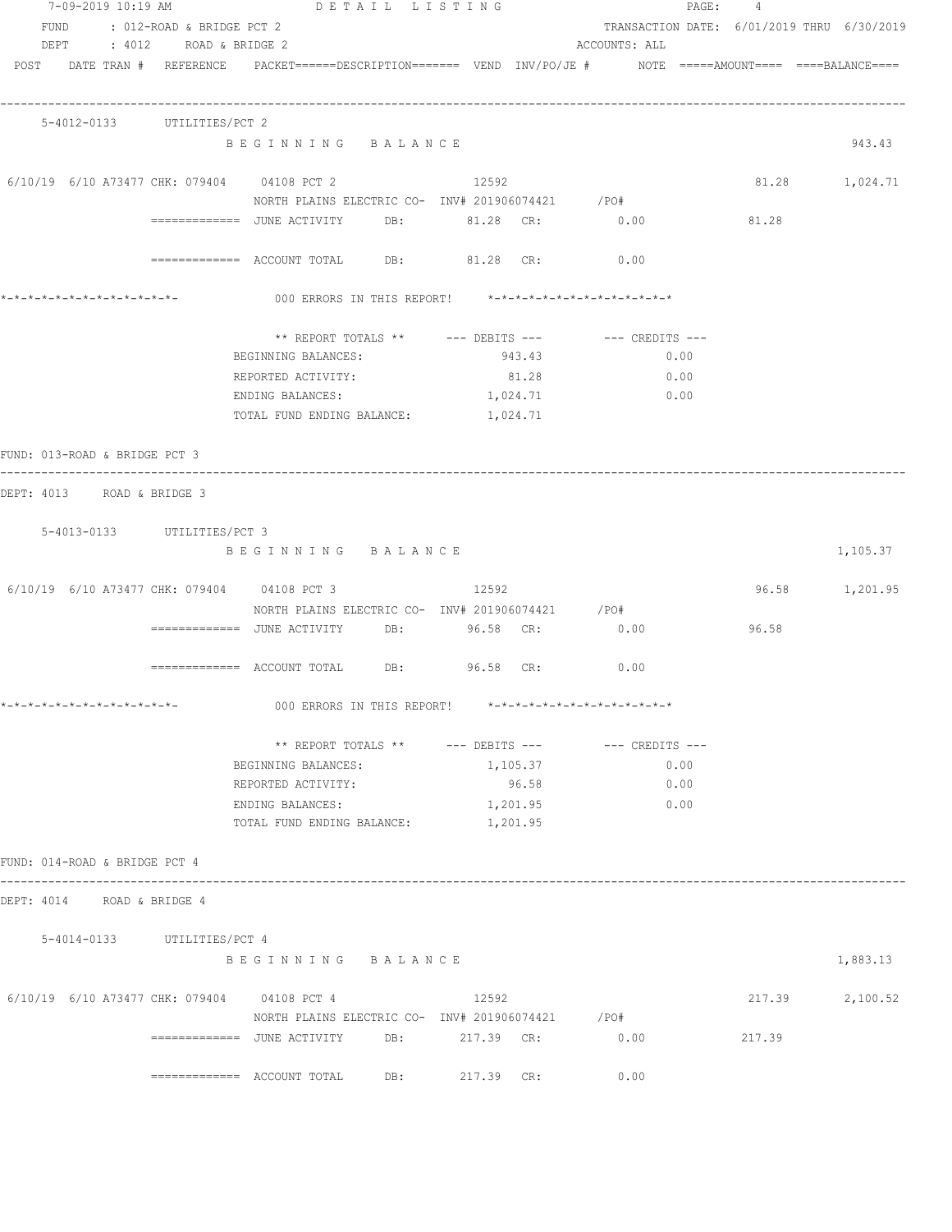| 7-09-2019 10:19 AM                          | DETAIL LISTING                                                                                                  |            |                                            | PAGE: 4         |          |
|---------------------------------------------|-----------------------------------------------------------------------------------------------------------------|------------|--------------------------------------------|-----------------|----------|
| FUND : 012-ROAD & BRIDGE PCT 2              |                                                                                                                 |            | TRANSACTION DATE: 6/01/2019 THRU 6/30/2019 |                 |          |
| DEPT : 4012 ROAD & BRIDGE 2                 |                                                                                                                 |            | ACCOUNTS: ALL                              |                 |          |
|                                             | POST DATE TRAN # REFERENCE PACKET======DESCRIPTION======= VEND INV/PO/JE # NOTE =====AMOUNT==== ====BALANCE==== |            |                                            |                 |          |
|                                             |                                                                                                                 |            |                                            |                 |          |
| 5-4012-0133 UTILITIES/PCT 2                 |                                                                                                                 |            |                                            |                 |          |
|                                             | BEGINNING BALANCE                                                                                               |            |                                            |                 | 943.43   |
|                                             |                                                                                                                 |            |                                            |                 |          |
| 6/10/19 6/10 A73477 CHK: 079404 04108 PCT 2 |                                                                                                                 | 12592      |                                            | 81.28 1,024.71  |          |
|                                             | NORTH PLAINS ELECTRIC CO- INV# 201906074421 / PO#                                                               |            |                                            |                 |          |
|                                             | ============    JUNE  ACTIVITY            DB:                   81.28     CR:                    0.00           |            |                                            | 81.28           |          |
|                                             | ============= ACCOUNT TOTAL DB: 81.28 CR:                                                                       |            | 0.00                                       |                 |          |
| *_*_*_*_*_*_*_*_*_*_*_*_*_*_*_              | 000 ERRORS IN THIS REPORT! *-*-*-*-*-*-*-*-*-*-*-*-*-*-                                                         |            |                                            |                 |          |
|                                             |                                                                                                                 |            |                                            |                 |          |
|                                             |                                                                                                                 |            |                                            |                 |          |
|                                             | BEGINNING BALANCES:                                                                                             | 943.43     | 0.00                                       |                 |          |
|                                             | REPORTED ACTIVITY:                                                                                              | 81.28      | 0.00                                       |                 |          |
|                                             | ENDING BALANCES:                                                                                                | 1,024.71   | 0.00                                       |                 |          |
|                                             | TOTAL FUND ENDING BALANCE: 1,024.71                                                                             |            |                                            |                 |          |
| FUND: 013-ROAD & BRIDGE PCT 3               |                                                                                                                 |            |                                            |                 |          |
| DEPT: 4013 ROAD & BRIDGE 3                  |                                                                                                                 |            |                                            |                 |          |
|                                             |                                                                                                                 |            |                                            |                 |          |
| 5-4013-0133 UTILITIES/PCT 3                 |                                                                                                                 |            |                                            |                 |          |
|                                             | BEGINNING BALANCE                                                                                               |            |                                            |                 | 1,105.37 |
| 6/10/19 6/10 A73477 CHK: 079404 04108 PCT 3 |                                                                                                                 | 12592      |                                            | 96.58 1,201.95  |          |
|                                             | NORTH PLAINS ELECTRIC CO- INV# 201906074421 / PO#                                                               |            |                                            |                 |          |
|                                             | ============ JUNE ACTIVITY DB: 96.58 CR: 0.00                                                                   |            |                                            | 96.58           |          |
|                                             |                                                                                                                 |            |                                            |                 |          |
|                                             | ============ ACCOUNT TOTAL DB: 96.58 CR: 0.00                                                                   |            |                                            |                 |          |
|                                             |                                                                                                                 |            |                                            |                 |          |
| *-*-*-*-*-*-*-*-*-*-*-*-*-*-                | 000 ERRORS IN THIS REPORT! *-*-*-*-*-*-*-*-*-*-*-*-*-*-                                                         |            |                                            |                 |          |
|                                             | ** REPORT TOTALS ** --- DEBITS --- -- CREDITS ---                                                               |            |                                            |                 |          |
|                                             | BEGINNING BALANCES:                                                                                             | 1,105.37   | 0.00                                       |                 |          |
|                                             | REPORTED ACTIVITY:                                                                                              | 96.58      | 0.00                                       |                 |          |
|                                             | ENDING BALANCES:                                                                                                | 1,201.95   | 0.00                                       |                 |          |
|                                             | TOTAL FUND ENDING BALANCE: 1, 201.95                                                                            |            |                                            |                 |          |
|                                             |                                                                                                                 |            |                                            |                 |          |
| FUND: 014-ROAD & BRIDGE PCT 4               |                                                                                                                 |            |                                            |                 |          |
| DEPT: 4014 ROAD & BRIDGE 4                  |                                                                                                                 |            |                                            |                 |          |
| 5-4014-0133 UTILITIES/PCT 4                 |                                                                                                                 |            |                                            |                 |          |
|                                             | BEGINNING BALANCE                                                                                               |            |                                            |                 | 1,883.13 |
|                                             |                                                                                                                 |            |                                            |                 |          |
| 6/10/19 6/10 A73477 CHK: 079404 04108 PCT 4 |                                                                                                                 | 12592      |                                            | 217.39 2,100.52 |          |
|                                             | NORTH PLAINS ELECTRIC CO- INV# 201906074421 / PO#                                                               |            |                                            |                 |          |
|                                             | ============       JUNE  ACTIVITY             DB:                217.39      CR:                      0.00      |            |                                            | 217.39          |          |
|                                             |                                                                                                                 | 217.39 CR: | 0.00                                       |                 |          |